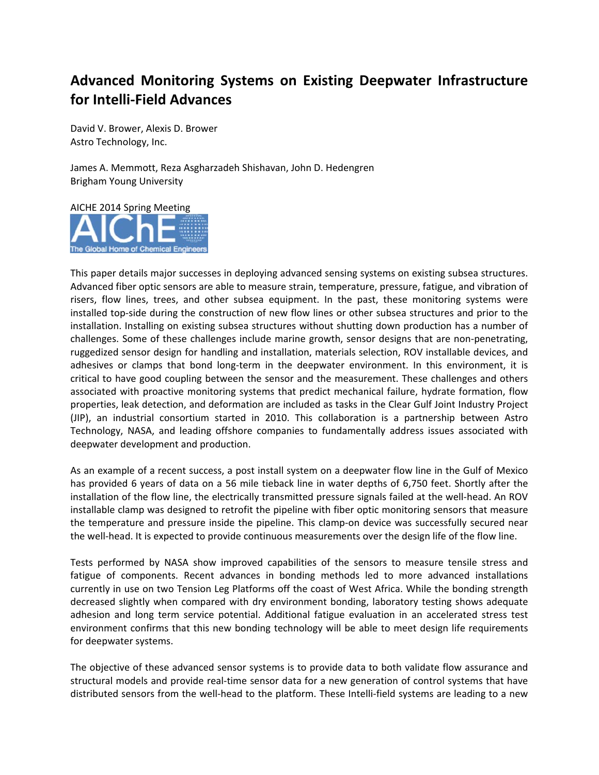## **Advanced Monitoring Systems on Existing Deepwater Infrastructure for Intelli‐Field Advances**

David V. Brower, Alexis D. Brower Astro Technology, Inc.

James A. Memmott, Reza Asgharzadeh Shishavan, John D. Hedengren Brigham Young University



This paper details major successes in deploying advanced sensing systems on existing subsea structures. Advanced fiber optic sensors are able to measure strain, temperature, pressure, fatigue, and vibration of risers, flow lines, trees, and other subsea equipment. In the past, these monitoring systems were installed top‐side during the construction of new flow lines or other subsea structures and prior to the installation. Installing on existing subsea structures without shutting down production has a number of challenges. Some of these challenges include marine growth, sensor designs that are non‐penetrating, ruggedized sensor design for handling and installation, materials selection, ROV installable devices, and adhesives or clamps that bond long-term in the deepwater environment. In this environment, it is critical to have good coupling between the sensor and the measurement. These challenges and others associated with proactive monitoring systems that predict mechanical failure, hydrate formation, flow properties, leak detection, and deformation are included as tasks in the Clear Gulf Joint Industry Project (JIP), an industrial consortium started in 2010. This collaboration is a partnership between Astro Technology, NASA, and leading offshore companies to fundamentally address issues associated with deepwater development and production.

As an example of a recent success, a post install system on a deepwater flow line in the Gulf of Mexico has provided 6 years of data on a 56 mile tieback line in water depths of 6,750 feet. Shortly after the installation of the flow line, the electrically transmitted pressure signals failed at the well‐head. An ROV installable clamp was designed to retrofit the pipeline with fiber optic monitoring sensors that measure the temperature and pressure inside the pipeline. This clamp-on device was successfully secured near the well‐head. It is expected to provide continuous measurements over the design life of the flow line.

Tests performed by NASA show improved capabilities of the sensors to measure tensile stress and fatigue of components. Recent advances in bonding methods led to more advanced installations currently in use on two Tension Leg Platforms off the coast of West Africa. While the bonding strength decreased slightly when compared with dry environment bonding, laboratory testing shows adequate adhesion and long term service potential. Additional fatigue evaluation in an accelerated stress test environment confirms that this new bonding technology will be able to meet design life requirements for deepwater systems.

The objective of these advanced sensor systems is to provide data to both validate flow assurance and structural models and provide real-time sensor data for a new generation of control systems that have distributed sensors from the well‐head to the platform. These Intelli‐field systems are leading to a new